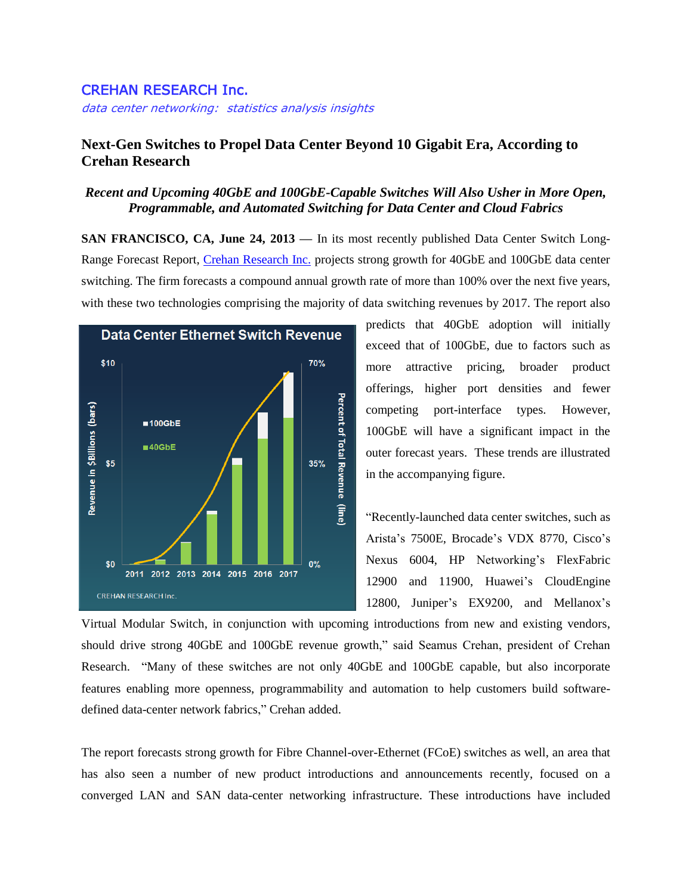## CREHAN RESEARCH Inc.

data center networking: statistics analysis insights

## **Next-Gen Switches to Propel Data Center Beyond 10 Gigabit Era, According to Crehan Research**

## *Recent and Upcoming 40GbE and 100GbE-Capable Switches Will Also Usher in More Open, Programmable, and Automated Switching for Data Center and Cloud Fabrics*

**SAN FRANCISCO, CA, June 24, 2013 —** In its most recently published Data Center Switch Long-Range Forecast Report, *Crehan Research Inc.* projects strong growth for 40GbE and 100GbE data center switching. The firm forecasts a compound annual growth rate of more than 100% over the next five years, with these two technologies comprising the majority of data switching revenues by 2017. The report also



predicts that 40GbE adoption will initially exceed that of 100GbE, due to factors such as more attractive pricing, broader product offerings, higher port densities and fewer competing port-interface types. However, 100GbE will have a significant impact in the outer forecast years. These trends are illustrated in the accompanying figure.

"Recently-launched data center switches, such as Arista's 7500E, Brocade's VDX 8770, Cisco's Nexus 6004, HP Networking's FlexFabric 12900 and 11900, Huawei's CloudEngine 12800, Juniper's EX9200, and Mellanox's

Virtual Modular Switch, in conjunction with upcoming introductions from new and existing vendors, should drive strong 40GbE and 100GbE revenue growth," said Seamus Crehan, president of Crehan Research. "Many of these switches are not only 40GbE and 100GbE capable, but also incorporate features enabling more openness, programmability and automation to help customers build softwaredefined data-center network fabrics," Crehan added.

The report forecasts strong growth for Fibre Channel-over-Ethernet (FCoE) switches as well, an area that has also seen a number of new product introductions and announcements recently, focused on a converged LAN and SAN data-center networking infrastructure. These introductions have included